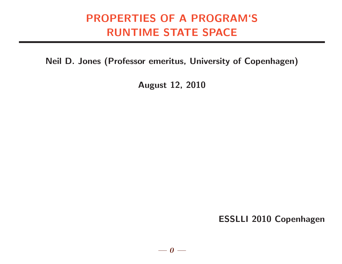# PROPERTIES OF A PROGRAM'S RUNTIME STATE SPACE

Neil D. Jones (Professor emeritus, University of Copenhagen)

August 12, 2010

ESSLLI 2010 Copenhagen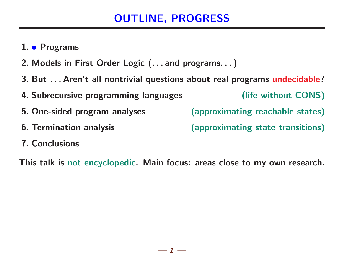# OUTLINE, PROGRESS

- 1. Programs
- 2. Models in First Order Logic (. . . and programs. . . )
- 3. But . . . Aren't all nontrivial questions about real programs undecidable?
- 4. Subrecursive programming languages (life without CONS)
- 
- 

5. One-sided program analyses (approximating reachable states)

- 6. Termination analysis (approximating state transitions)
- 7. Conclusions

This talk is not encyclopedic. Main focus: areas close to my own research.

 $-1-$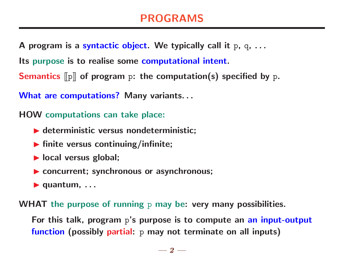### PROGRAMS

A program is a syntactic object. We typically call it  $p, q, ...$ 

Its purpose is to realise some computational intent.

**Semantics**  $\llbracket p \rrbracket$  of program p: the computation(s) specified by p.

What are computations? Many variants...

HOW computations can take place:

- $\blacktriangleright$  deterministic versus nondeterministic;
- $\blacktriangleright$  finite versus continuing/infinite;
- $\blacktriangleright$  local versus global;
- ▶ concurrent; synchronous or asynchronous;
- $\blacktriangleright$  quantum,  $\dots$

WHAT the purpose of running p may be: very many possibilities.

For this talk, program p's purpose is to compute an an input-output function (possibly partial: p may not terminate on all inputs)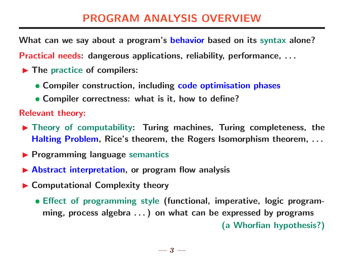### PROGRAM ANALYSIS OVERVIEW

What can we say about a program's behavior based on its syntax alone?

Practical needs: dangerous applications, reliability, performance, . . .

- $\blacktriangleright$  The practice of compilers:
	- Compiler construction, including code optimisation phases
	- Compiler correctness: what is it, how to define?

Relevant theory:

- $\blacktriangleright$  Theory of computability: Turing machines, Turing completeness, the Halting Problem, Rice's theorem, the Rogers Isomorphism theorem, ...
- $\blacktriangleright$  Programming language semantics
- $\blacktriangleright$  Abstract interpretation, or program flow analysis
- ▶ Computational Complexity theory
	- Effect of programming style (functional, imperative, logic programming, process algebra . . . ) on what can be expressed by programs (a Whorfian hypothesis?)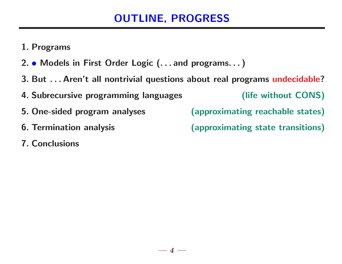# OUTLINE, PROGRESS

- 1. Programs
- 2. Models in First Order Logic (. . . and programs. . . )
- 3. But . . . Aren't all nontrivial questions about real programs undecidable?
- 4. Subrecursive programming languages (life without CONS)
- 
- 
- 7. Conclusions
- 5. One-sided program analyses (approximating reachable states)
- 6. Termination analysis (approximating state transitions)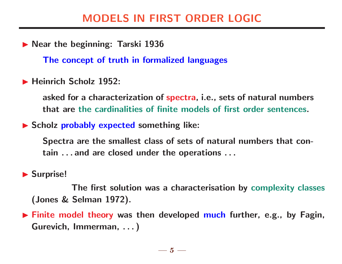### MODELS IN FIRST ORDER LOGIC

▶ Near the beginning: Tarski 1936

The concept of truth in formalized languages

**In Heinrich Scholz 1952:** 

asked for a characterization of spectra, i.e., sets of natural numbers that are the cardinalities of finite models of first order sentences.

 $\blacktriangleright$  Scholz probably expected something like:

Spectra are the smallest class of sets of natural numbers that contain . . . and are closed under the operations . . .

 $\blacktriangleright$  Surprise!

The first solution was a characterisation by complexity classes (Jones & Selman 1972).

 $\blacktriangleright$  Finite model theory was then developed much further, e.g., by Fagin, Gurevich, Immerman, . . . )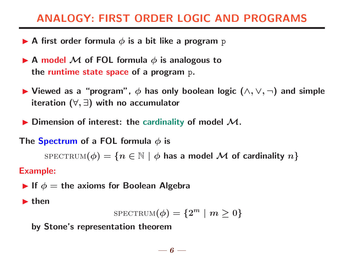# ANALOGY: FIRST ORDER LOGIC AND PROGRAMS

- A first order formula  $\phi$  is a bit like a program p
- A model  $M$  of FOL formula  $\phi$  is analogous to the runtime state space of a program p.
- $\blacktriangleright$  Viewed as a "program",  $\phi$  has only boolean logic  $(\wedge, \vee, \neg)$  and simple iteration  $(\forall,\exists)$  with no accumulator
- $\blacktriangleright$  Dimension of interest: the cardinality of model  $\mathcal{M}$ .

#### The Spectrum of a FOL formula  $\phi$  is

 $SPECTRUM(\phi) = \{n \in \mathbb{N} \mid \phi \text{ has a model } \mathcal{M} \text{ of cardinality } n\}$ 

#### Example:

If  $\phi =$  the axioms for Boolean Algebra

 $\blacktriangleright$  then

$$
\text{spectrum}(\phi) = \{2^m \mid m \geq 0\}
$$

by Stone's representation theorem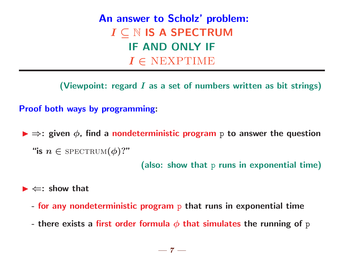An answer to Scholz' problem:  $I\subseteq\mathbb{N}$  IS A SPECTRUM IF AND ONLY IF  $I \in \text{NEXPTIME}$ 

(Viewpoint: regard  $I$  as a set of numbers written as bit strings)

Proof both ways by programming:

 $\blacktriangleright \Rightarrow$ : given  $\phi$ , find a nondeterministic program p to answer the question "is  $n \in$  SPECTRUM $(\phi)$ ?"

(also: show that p runs in exponential time)

 $\blacktriangleright \Leftarrow:$  show that

- for any nondeterministic program p that runs in exponential time
- there exists a first order formula  $\phi$  that simulates the running of p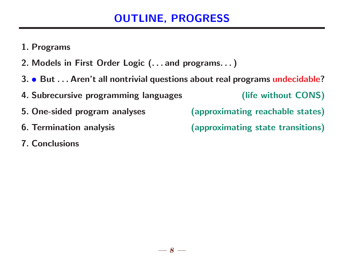# OUTLINE, PROGRESS

- 1. Programs
- 2. Models in First Order Logic (. . . and programs. . . )
- 3. But . . . Aren't all nontrivial questions about real programs undecidable?
- 4. Subrecursive programming languages (life without CONS)
- 5. One-sided program analyses (approximating reachable states)
- 
- 7. Conclusions
- 
- 6. Termination analysis (approximating state transitions)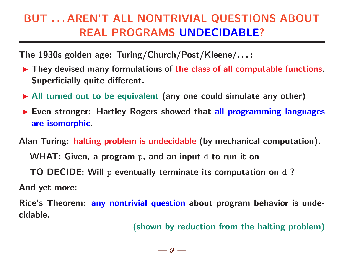# BUT . . . AREN'T ALL NONTRIVIAL QUESTIONS ABOUT REAL PROGRAMS UNDECIDABLE?

The 1930s golden age: Turing/Church/Post/Kleene/. . . :

- $\blacktriangleright$  They devised many formulations of the class of all computable functions. Superficially quite different.
- $\blacktriangleright$  All turned out to be equivalent (any one could simulate any other)
- Even stronger: Hartley Rogers showed that all programming languages are isomorphic.

Alan Turing: halting problem is undecidable (by mechanical computation).

WHAT: Given, a program p, and an input d to run it on

TO DECIDE: Will p eventually terminate its computation on d?

And yet more:

Rice's Theorem: any nontrivial question about program behavior is undecidable.

(shown by reduction from the halting problem)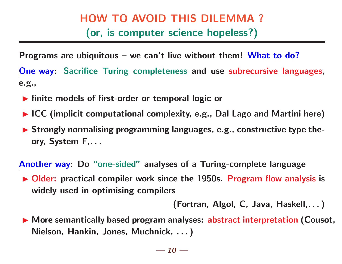# HOW TO AVOID THIS DILEMMA ? (or, is computer science hopeless?)

Programs are ubiquitous – we can't live without them! What to do?

One way: Sacrifice Turing completeness and use subrecursive languages, e.g.,

- $\blacktriangleright$  finite models of first-order or temporal logic or
- $\blacktriangleright$  ICC (implicit computational complexity, e.g., Dal Lago and Martini here)
- $\blacktriangleright$  Strongly normalising programming languages, e.g., constructive type theory, System F,. . .

Another way: Do "one-sided" analyses of a Turing-complete language

 $\triangleright$  Older: practical compiler work since the 1950s. Program flow analysis is widely used in optimising compilers

(Fortran, Algol, C, Java, Haskell,. . . )

▶ More semantically based program analyses: abstract interpretation (Cousot, Nielson, Hankin, Jones, Muchnick, . . . )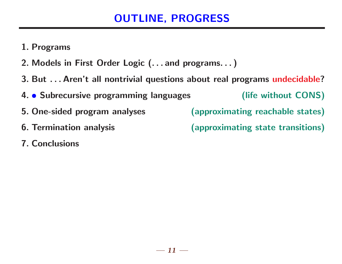# OUTLINE, PROGRESS

- 1. Programs
- 2. Models in First Order Logic (. . . and programs. . . )
- 3. But . . . Aren't all nontrivial questions about real programs undecidable?

4. • Subrecursive programming languages (life without CONS)

- 
- 
- 7. Conclusions
- 5. One-sided program analyses (approximating reachable states)
- 6. Termination analysis (approximating state transitions)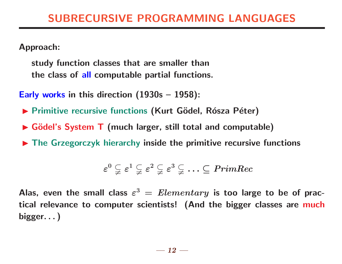Approach:

study function classes that are smaller than the class of all computable partial functions.

Early works in this direction (1930s – 1958):

- ▶ Primitive recursive functions (Kurt Gödel, Rósza Péter)
- $\triangleright$  Gödel's System T (much larger, still total and computable)
- $\blacktriangleright$  The Grzegorczyk hierarchy inside the primitive recursive functions

$$
\varepsilon^0\subsetneqq\varepsilon^1\subsetneqq\varepsilon^2\subsetneqq\varepsilon^3\subsetneqq\ldots\subseteq\mathit{PrimeRec}
$$

Alas, even the small class  $\varepsilon^3 = {\it Elementary}$  is too large to be of practical relevance to computer scientists! (And the bigger classes are much bigger. . . )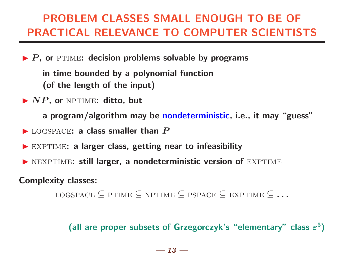# PROBLEM CLASSES SMALL ENOUGH TO BE OF PRACTICAL RELEVANCE TO COMPUTER SCIENTISTS

 $\blacktriangleright$  P, or PTIME: decision problems solvable by programs

in time bounded by a polynomial function (of the length of the input)

 $\blacktriangleright$  NP, or NPTIME: ditto, but

a program/algorithm may be nondeterministic, i.e., it may "guess"

- $\blacktriangleright$  LOGSPACE: a class smaller than  $P$
- $\blacktriangleright$  EXPTIME: a larger class, getting near to infeasibility
- $\blacktriangleright$  NEXPTIME: still larger, a nondeterministic version of EXPTIME

Complexity classes:

```
LOGSPACE \subseteq PTIME \subseteq NPTIME \subseteq PSPACE \subseteq EXPTIME \subseteq ...
```
(all are proper subsets of Grzegorczyk's "elementary" class  $\varepsilon^3$ )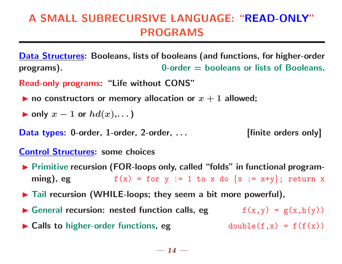# A SMALL SUBRECURSIVE LANGUAGE: "READ-ONLY" PROGRAMS

Data Structures: Booleans, lists of booleans (and functions, for higher-order programs). 0-order = booleans or lists of Booleans.

Read-only programs: "Life without CONS"

- ighthroportal no constructors or memory allocation or  $x + 1$  allowed;
- $\blacktriangleright$  only  $x 1$  or  $hd(x), \ldots$ )

Data types: 0-order, 1-order, 2-order, ... [finite orders only]

#### Control Structures: some choices

- ▶ Primitive recursion (FOR-loops only, called "folds" in functional programming), eg  $f(x) = for y := 1 to x do {x := x+y}$ ; return x
- $\blacktriangleright$  Tail recursion (WHILE-loops; they seem a bit more powerful),
- General recursion: nested function calls, eg  $f(x,y) = g(x,h(y))$  $\blacktriangleright$  Calls to higher-order functions, eg double(f,x) = f(f(x))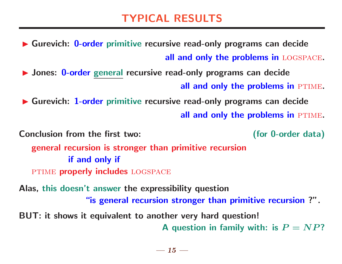# TYPICAL RESULTS

▶ Gurevich: 0-order primitive recursive read-only programs can decide all and only the problems in LOGSPACE.

▶ Jones: 0-order general recursive read-only programs can decide all and only the problems in PTIME.

▶ Gurevich: 1-order primitive recursive read-only programs can decide all and only the problems in PTIME.

Conclusion from the first two: (for 0-order data) general recursion is stronger than primitive recursion if and only if

PTIME properly includes LOGSPACE

Alas, this doesn't answer the expressibility question "is general recursion stronger than primitive recursion ?". BUT: it shows it equivalent to another very hard question!

A question in family with: is  $P = NP$ ?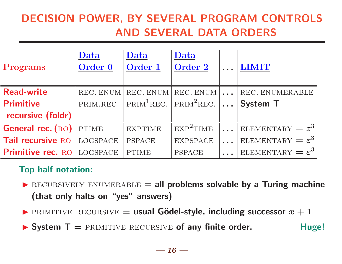# DECISION POWER, BY SEVERAL PROGRAM CONTROLS AND SEVERAL DATA ORDERS

| Programs                 | Data<br>Order 0 | Data<br>Order 1                                                   | Data<br>Order 2       |                 | <b>LIMIT</b>                         |
|--------------------------|-----------------|-------------------------------------------------------------------|-----------------------|-----------------|--------------------------------------|
| <b>Read-write</b>        |                 | REC. ENUM REC. ENUM REC. ENUM $\vert \ldots$                      |                       |                 | REC. ENUMERABLE                      |
| <b>Primitive</b>         |                 | PRIM.REC. PRIM <sup>1</sup> REC. PRIM <sup>2</sup> REC.  System T |                       |                 |                                      |
| recursive (foldr)        |                 |                                                                   |                       |                 |                                      |
| <b>General rec. (RO)</b> | <b>PTIME</b>    | <b>EXPTIME</b>                                                    | EXP <sup>2</sup> TIME | $\sim 10^{-10}$ | ELEMENTARY $=\varepsilon^3$          |
| Tail recursive RO        | <b>LOGSPACE</b> | <b>PSPACE</b>                                                     | <b>EXPSPACE</b>       |                 | ELEMENTARY $=\varepsilon^3$          |
| Primitive rec. RO        | <b>LOGSPACE</b> | <b>PTIME</b>                                                      | <b>PSPACE</b>         |                 | $ \text{ELEMENTARY} = \varepsilon^3$ |

### Top half notation:

- $\blacktriangleright$  RECURSIVELY ENUMERABLE = all problems solvable by a Turing machine (that only halts on "yes" answers)
- **PRIMITIVE RECURSIVE = usual Gödel-style, including successor**  $x + 1$

 $\triangleright$  System T = PRIMITIVE RECURSIVE of any finite order. Huge!

 $-16-$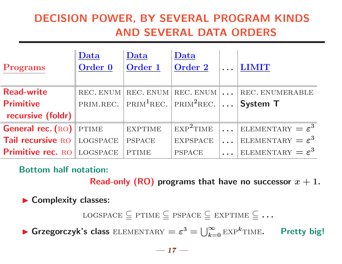# DECISION POWER, BY SEVERAL PROGRAM KINDS AND SEVERAL DATA ORDERS

| Programs                 | Data<br>Order 0 | Data<br>Order 1 | Data<br>Order 2                                                           |                         | <b>LIMIT</b>                |
|--------------------------|-----------------|-----------------|---------------------------------------------------------------------------|-------------------------|-----------------------------|
| <b>Read-write</b>        | REC. ENUM       | REC. ENUM       | REC. ENUM                                                                 | $\sim 100$ km s $^{-1}$ | REC. ENUMERABLE             |
| <b>Primitive</b>         |                 |                 | PRIM.REC. $ $ PRIM <sup>1</sup> REC. $ $ PRIM <sup>2</sup> REC. $  \dots$ |                         | <b>System T</b>             |
| recursive (foldr)        |                 |                 |                                                                           |                         |                             |
| <b>General rec. (RO)</b> | <b>PTIME</b>    | <b>EXPTIME</b>  | EXP <sup>2</sup> TIME                                                     | $\mathbf{r}$            | ELEMENTARY $=\varepsilon^3$ |
| Tail recursive RO        | <b>LOGSPACE</b> | <b>PSPACE</b>   | <b>EXPSPACE</b>                                                           |                         | ELEMENTARY $=\varepsilon^3$ |
| <b>Primitive rec. RO</b> | LOGSPACE        | <b>PTIME</b>    | <b>PSPACE</b>                                                             |                         | ELEMENTARY $=\varepsilon^3$ |

Bottom half notation:

Read-only (RO) programs that have no successor  $x + 1$ .

Complexity classes:

LOGSPACE  $\subseteq$  PTIME  $\subseteq$  PSPACE  $\subseteq$  EXPTIME  $\subseteq$  ...

**Since Grzegorczyk's class** ELEMENTARY =  $\varepsilon^3 = \bigcup_{k=0}^{\infty} \text{EXP}^k$ TIME. Pretty big!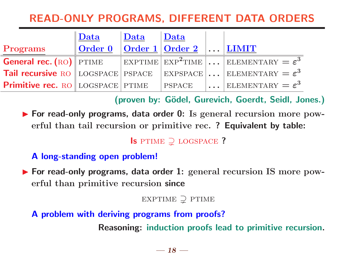# READ-ONLY PROGRAMS, DIFFERENT DATA ORDERS

|                                         | $\mathbb I$ Data               | Data | $\sqrt{\mathbf{Data}}$               |                                                                                                                                |
|-----------------------------------------|--------------------------------|------|--------------------------------------|--------------------------------------------------------------------------------------------------------------------------------|
| Programs                                | $\sqrt{\phantom{a}}$ Order $0$ |      | $\vert$ Order 1   Order 2      LIMIT |                                                                                                                                |
|                                         |                                |      |                                      | <b>General rec.</b> (RO) PTIME $\vert$ EXPTIME $\vert$ EXP <sup>2</sup> TIME $\vert \ldots \vert$ ELEMENTARY = $\varepsilon^3$ |
|                                         |                                |      |                                      | <b>Tail recursive</b> RO LOGSPACE PSPACE EXPSPACE  ELEMENTARY = $\varepsilon^3$                                                |
| <b>Primitive rec.</b> RO LOGSPACE PTIME |                                |      | PSPACE                               | $\left\vert \ldots\right\vert$ ELEMENTARY $=\varepsilon^{3}$                                                                   |

(proven by: Gödel, Gurevich, Goerdt, Seidl, Jones.)

▶ For read-only programs, data order 0: Is general recursion more powerful than tail recursion or primitive rec. ? Equivalent by table:

Is PTIME  $\supsetneq$  LOGSPACE ?

### A long-standing open problem!

▶ For read-only programs, data order 1: general recursion IS more powerful than primitive recursion since

EXPTIME  $\supsetneq$  PTIME

A problem with deriving programs from proofs?

Reasoning: induction proofs lead to primitive recursion.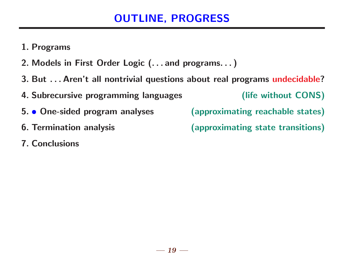# OUTLINE, PROGRESS

- 1. Programs
- 2. Models in First Order Logic (. . . and programs. . . )
- 3. But . . . Aren't all nontrivial questions about real programs undecidable?
- 4. Subrecursive programming languages (life without CONS)
- 5. One-sided program analyses (approximating reachable states)
- 
- 7. Conclusions

6. Termination analysis (approximating state transitions)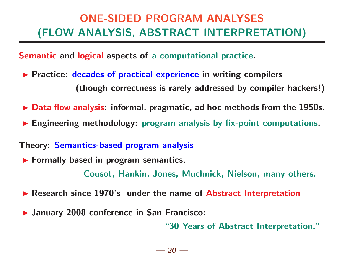# ONE-SIDED PROGRAM ANALYSES (FLOW ANALYSIS, ABSTRACT INTERPRETATION)

Semantic and logical aspects of a computational practice.

- **Practice: decades of practical experience in writing compilers** (though correctness is rarely addressed by compiler hackers!)
- $\triangleright$  Data flow analysis: informal, pragmatic, ad hoc methods from the 1950s.
- $\blacktriangleright$  Engineering methodology: program analysis by fix-point computations.
- Theory: Semantics-based program analysis
- $\blacktriangleright$  Formally based in program semantics.

Cousot, Hankin, Jones, Muchnick, Nielson, many others.

- ▶ Research since 1970's under the name of Abstract Interpretation
- **In January 2008 conference in San Francisco:**

"30 Years of Abstract Interpretation."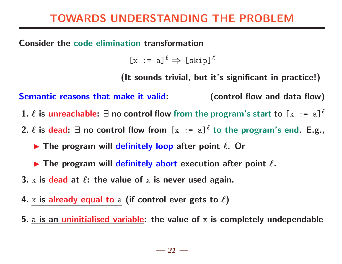# TOWARDS UNDERSTANDING THE PROBLEM

Consider the code elimination transformation

 $\lceil x \rceil$  = a] $\ell \Rightarrow \lceil \text{skip} \rceil \ell$ 

(It sounds trivial, but it's significant in practice!)

Semantic reasons that make it valid: (control flow and data flow) 1.  $\ell$  is unreachable:  $\exists$  no control flow from the program's start to  $[x := a]^\ell$ 

- 2.  $\underline{\ell}$  is dead:  $\exists$  no control flow from  $[x := a]^{\ell}$  to the program's end. E.g.,
	- $\blacktriangleright$  The program will definitely loop after point  $\ell$ . Or

 $\blacktriangleright$  The program will definitely abort execution after point  $\ell$ .

- 3. x is dead at  $\ell$ : the value of x is never used again.
- 4. x is already equal to a (if control ever gets to  $\ell$ )
- 5.  $\underline{a}$  is an uninitialised variable: the value of x is completely undependable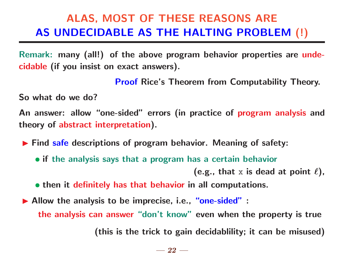# ALAS, MOST OF THESE REASONS ARE AS UNDECIDABLE AS THE HALTING PROBLEM (!)

Remark: many (all!) of the above program behavior properties are undecidable (if you insist on exact answers).

Proof Rice's Theorem from Computability Theory.

So what do we do?

An answer: allow "one-sided" errors (in practice of program analysis and theory of abstract interpretation).

**Find safe descriptions of program behavior. Meaning of safety:** 

• if the analysis says that a program has a certain behavior

(e.g., that x is dead at point  $\ell$ ),

• then it definitely has that behavior in all computations.

Allow the analysis to be imprecise, i.e., "one-sided" : the analysis can answer "don't know" even when the property is true

(this is the trick to gain decidablility; it can be misused)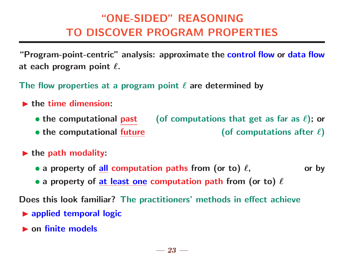# "ONE-SIDED" REASONING TO DISCOVER PROGRAM PROPERTIES

"Program-point-centric" analysis: approximate the control flow or data flow at each program point  $\ell$ .

The flow properties at a program point  $\ell$  are determined by

- $\blacktriangleright$  the time dimension:
	- the computational past (of computations that get as far as  $\ell$ ); or
	- the computational future  $($  of computations after  $\ell$ )
- $\blacktriangleright$  the path modality:
	- a property of all computation paths from (or to)  $\ell$ , or by
	- a property of at least one computation path from (or to)  $\ell$

Does this look familiar? The practitioners' methods in effect achieve

- $\triangleright$  applied temporal logic
- $\blacktriangleright$  on finite models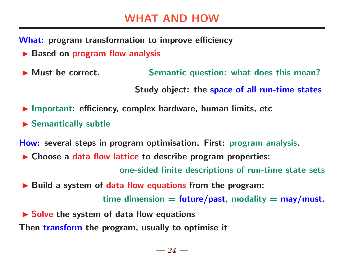What: program transformation to improve efficiency

- $\blacktriangleright$  Based on program flow analysis
- ▶ Must be correct. Semantic question: what does this mean?

Study object: the space of all run-time states

- $\blacktriangleright$  Important: efficiency, complex hardware, human limits, etc
- $\blacktriangleright$  Semantically subtle

How: several steps in program optimisation. First: program analysis.

 $\triangleright$  Choose a data flow lattice to describe program properties:

one-sided finite descriptions of run-time state sets

 $\blacktriangleright$  Build a system of data flow equations from the program:

time dimension  $=$  future/past, modality  $=$  may/must.

 $\triangleright$  Solve the system of data flow equations

Then transform the program, usually to optimise it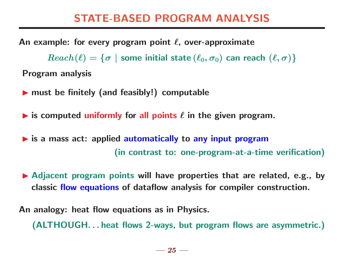# STATE-BASED PROGRAM ANALYSIS

An example: for every program point  $\ell$ , over-approximate

 $Reach(\ell) = \{\sigma \mid$  some initial state  $(\ell_0, \sigma_0)$  can reach  $(\ell, \sigma)\}$ Program analysis

- $\blacktriangleright$  must be finitely (and feasibly!) computable
- is computed uniformly for all points  $\ell$  in the given program.
- $\triangleright$  is a mass act: applied automatically to any input program (in contrast to: one-program-at-a-time verification)
- $\blacktriangleright$  Adjacent program points will have properties that are related, e.g., by classic flow equations of dataflow analysis for compiler construction.

An analogy: heat flow equations as in Physics.

(ALTHOUGH. . . heat flows 2-ways, but program flows are asymmetric.)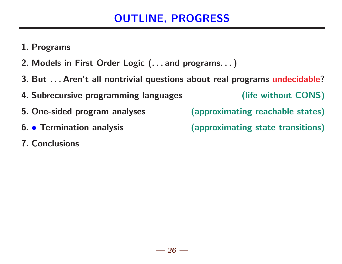# OUTLINE, PROGRESS

- 1. Programs
- 2. Models in First Order Logic (. . . and programs. . . )
- 3. But . . . Aren't all nontrivial questions about real programs undecidable?
- 4. Subrecursive programming languages (life without CONS)
- 5. One-sided program analyses (approximating reachable states)
- 
- 7. Conclusions
- 
- 6. Termination analysis (approximating state transitions)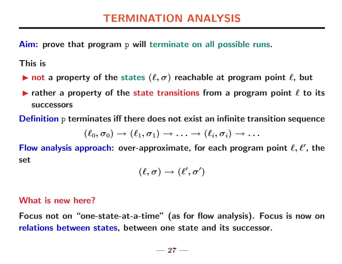Aim: prove that program p will terminate on all possible runs.

This is

- Intertuanal not a property of the states  $(\ell, \sigma)$  reachable at program point  $\ell$ , but
- rather a property of the state transitions from a program point  $\ell$  to its successors

Definition p terminates iff there does not exist an infinite transition sequence

$$
(\ell_0,\sigma_0) \to (\ell_1,\sigma_1) \to \ldots \to (\ell_i,\sigma_i) \to \ldots
$$

Flow analysis approach: over-approximate, for each program point  $\ell, \ell'$ , the set

$$
(\ell,\sigma)\to (\ell',\sigma')
$$

#### What is new here?

Focus not on "one-state-at-a-time" (as for flow analysis). Focus is now on relations between states, between one state and its successor.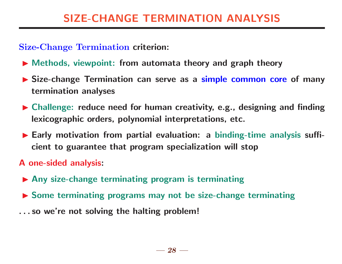### Size-Change Termination criterion:

- $\blacktriangleright$  Methods, viewpoint: from automata theory and graph theory
- I Size-change Termination can serve as a simple common core of many termination analyses
- $\blacktriangleright$  Challenge: reduce need for human creativity, e.g., designing and finding lexicographic orders, polynomial interpretations, etc.
- Early motivation from partial evaluation: a binding-time analysis sufficient to guarantee that program specialization will stop
- A one-sided analysis:
- $\blacktriangleright$  Any size-change terminating program is terminating
- $\triangleright$  Some terminating programs may not be size-change terminating
- . . . so we're not solving the halting problem!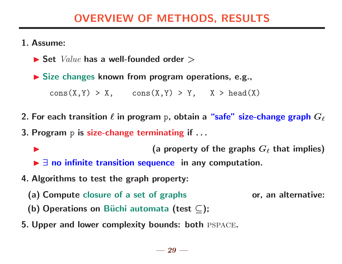### OVERVIEW OF METHODS, RESULTS

#### 1. Assume:

 $\blacktriangleright$  Set  $Value$  has a well-founded order  $\blacktriangleright$ 

 $\triangleright$  Size changes known from program operations, e.g.,

 $cons(X,Y) > X$ ,  $cons(X,Y) > Y$ ,  $X > head(X)$ 

2. For each transition  $\ell$  in program p, obtain a "safe" size-change graph  $G_\ell$ 

3. Program p is size-change terminating if . . .

(a property of the graphs  $G_\ell$  that implies)  $\blacktriangleright$   $\exists$  no infinite transition sequence in any computation.

- 4. Algorithms to test the graph property:
	- (a) Compute closure of a set of graphs or, an alternative:
	- (b) Operations on Büchi automata (test  $\subseteq$ );
- 5. Upper and lower complexity bounds: both pspace.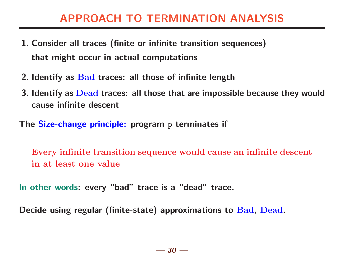# APPROACH TO TERMINATION ANALYSIS

- 1. Consider all traces (finite or infinite transition sequences) that might occur in actual computations
- 2. Identify as Bad traces: all those of infinite length
- 3. Identify as Dead traces: all those that are impossible because they would cause infinite descent
- The Size-change principle: program p terminates if

Every infinite transition sequence would cause an infinite descent in at least one value

In other words: every "bad" trace is a "dead" trace.

Decide using regular (finite-state) approximations to Bad, Dead.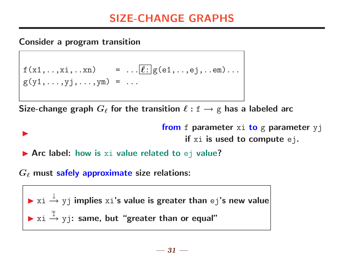# SIZE-CHANGE GRAPHS

Consider a program transition

 $\blacktriangleright$ 

$$
f(x1,...,xi,...xn) = ...[\ell:g(e1,...,ej,...em)...
$$
  
g(y1,...,yj,...,ym) = ...

Size-change graph  $G_{\ell}$  for the transition  $\ell : f \rightarrow g$  has a labeled arc

from f parameter xi to g parameter yj if xi is used to compute ej.

 $\blacktriangleright$  Arc label: how is xi value related to ej value?

 $G_{\ell}$  must safely approximate size relations:

▶ 
$$
xi \xrightarrow{\downarrow} yj
$$
 implies  $xi$ 's value is greater than  $ej$ 's new value  $\triangleright$   $xi \xrightarrow{\mp}$   $yj$ : same, but "greater than or equal"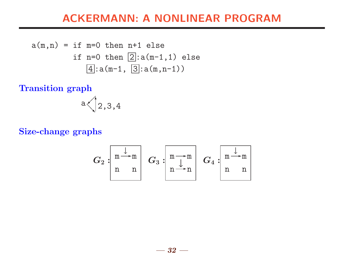### ACKERMANN: A NONLINEAR PROGRAM

$$
a(m,n) = if m=0 then n+1 else
$$
  
if n=0 then  $\boxed{2} : a(m-1,1)$  else  
 $\boxed{4} : a(m-1, \boxed{3} : a(m,n-1))$ 

Transition graph

$$
\text{a}\bigtriangleup \bigg\vert 2,3,4
$$

#### Size-change graphs

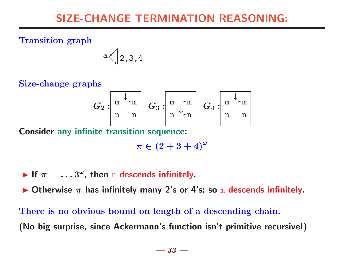# SIZE-CHANGE TERMINATION REASONING:

Transition graph

$$
a \bigg\langle 2,3,4
$$

Size-change graphs

$$
G_2:\begin{bmatrix} \frac{\downarrow}{m \rightarrow m} \\ n & n \end{bmatrix} \begin{array}{c} G_3:\begin{bmatrix} \frac{\downarrow}{m \rightarrow m} \\ n \rightarrow n \end{bmatrix} \begin{array}{c} G_4:\begin{bmatrix} \frac{\downarrow}{m \rightarrow m} \\ n & n \end{bmatrix} \end{array}
$$

Consider any infinite transition sequence:

 $\pi \in (2+3+4)^\omega$ 

If  $\pi = ... 3^{\omega}$ , then n descends infinitely.

Otherwise  $\pi$  has infinitely many 2's or 4's; so m descends infinitely.

There is no obvious bound on length of a descending chain. (No big surprise, since Ackermann's function isn't primitive recursive!)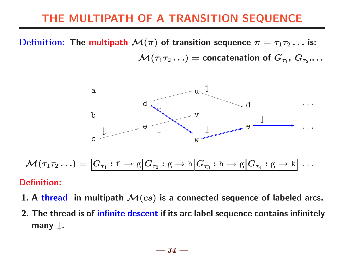# THE MULTIPATH OF A TRANSITION SEQUENCE

Definition: The multipath  $\mathcal{M}(\pi)$  of transition sequence  $\pi = \tau_1 \tau_2 \ldots$  is:  $\mathcal{M}(\tau_1\tau_2\ldots)=$  concatenation of  $G_{\tau_1},\,G_{\tau_2},\ldots$ 



#### Definition:

- 1. A thread in multipath  $\mathcal{M}(cs)$  is a connected sequence of labeled arcs.
- 2. The thread is of infinite descent if its arc label sequence contains infinitely many ↓.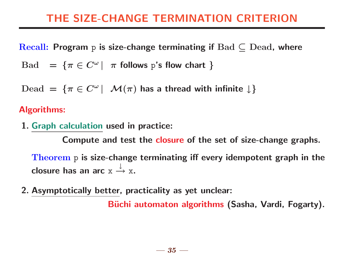# THE SIZE-CHANGE TERMINATION CRITERION

Recall: Program p is size-change terminating if  $Bad \subset Dead$ , where

Bad =  $\{\pi \in C^{\omega} \mid \pi \text{ follows } p \text{'s flow chart }\}$ 

Dead =  $\{\pi \in C^{\omega} \mid \mathcal{M}(\pi)$  has a thread with infinite  $\downarrow\}$ 

#### Algorithms:

1. Graph calculation used in practice:

Compute and test the closure of the set of size-change graphs.

Theorem p is size-change terminating iff every idempotent graph in the closure has an arc x ↓  $\stackrel{\downarrow}{\rightarrow}$  x.

2. Asymptotically better, practicality as yet unclear:

Büchi automaton algorithms (Sasha, Vardi, Fogarty).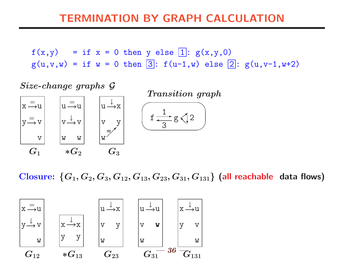### TERMINATION BY GRAPH CALCULATION

 $f(x,y) = if x = 0 then y else [1: g(x,y,0)]$  $g(u,v,w) = if w = 0 then \boxed{3}$ :  $f(u-1,w)$  else  $\boxed{2}$ :  $g(u,v-1,w+2)$ 

Size-change graphs G

 $u \stackrel{=}{\rightarrow} u$ 

 $V \stackrel{\downarrow}{\longrightarrow} V$ 

 $\rightarrow \infty$  |  $\vee$  X

 $w =$ 

 $G_3$ 

↓

w w

 $\ast G_{2}$ 

 $x \stackrel{=}{\rightarrow} u$ 

 $y \stackrel{=}{\longrightarrow} v$ 

v

 $G_1$ 

Transition graph  $u \xrightarrow{\downarrow} x$  (  $\overline{\phantom{0}}$  $f \stackrel{\perp}{\longrightarrow} g \leqslant 2$ 1 3 ❅■❅ ✚✚❃ ❄

Closure:  $\{G_1, G_2, G_3, G_{12}, G_{13}, G_{23}, G_{31}, G_{131}\}$  (all reachable data flows)

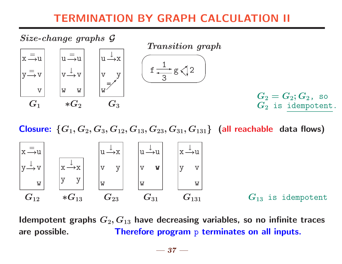# TERMINATION BY GRAPH CALCULATION II



Closure:  $\{G_1, G_2, G_3, G_{12}, G_{13}, G_{23}, G_{31}, G_{131}\}$  (all reachable data flows)



Idempotent graphs  $G_2, G_{13}$  have decreasing variables, so no infinite traces are possible. Therefore program p terminates on all inputs.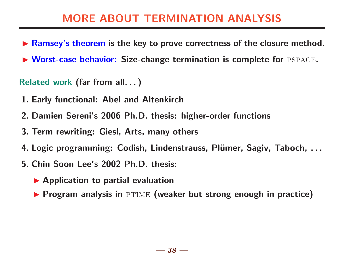# MORE ABOUT TERMINATION ANALYSIS

- ▶ Ramsey's theorem is the key to prove correctness of the closure method.
- $\triangleright$  Worst-case behavior: Size-change termination is complete for PSPACE.

Related work (far from all. . . )

- 1. Early functional: Abel and Altenkirch
- 2. Damien Sereni's 2006 Ph.D. thesis: higher-order functions
- 3. Term rewriting: Giesl, Arts, many others
- 4. Logic programming: Codish, Lindenstrauss, Plümer, Sagiv, Taboch, ...
- 5. Chin Soon Lee's 2002 Ph.D. thesis:
	- $\blacktriangleright$  Application to partial evaluation
	- $\blacktriangleright$  Program analysis in PTIME (weaker but strong enough in practice)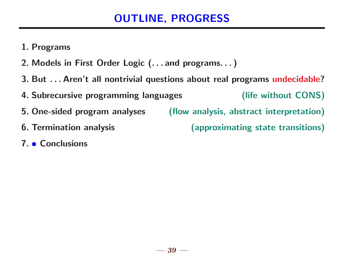# OUTLINE, PROGRESS

- 1. Programs
- 2. Models in First Order Logic (. . . and programs. . . )
- 3. But . . . Aren't all nontrivial questions about real programs undecidable?
- 4. Subrecursive programming languages (life without CONS)
- 5. One-sided program analyses (flow analysis, abstract interpretation)
- 

6. Termination analysis (approximating state transitions)

7. • Conclusions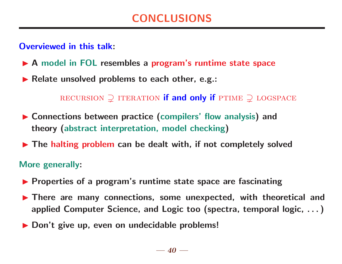#### Overviewed in this talk:

- ▶ A model in FOL resembles a program's runtime state space
- $\blacktriangleright$  Relate unsolved problems to each other, e.g.:

RECURSION  $\supseteq$  ITERATION if and only if PTIME  $\supseteq$  LOGSPACE

- $\triangleright$  Connections between practice (compilers' flow analysis) and theory (abstract interpretation, model checking)
- $\blacktriangleright$  The halting problem can be dealt with, if not completely solved

#### More generally:

- $\blacktriangleright$  Properties of a program's runtime state space are fascinating
- $\blacktriangleright$  There are many connections, some unexpected, with theoretical and applied Computer Science, and Logic too (spectra, temporal logic, . . . )
- ▶ Don't give up, even on undecidable problems!